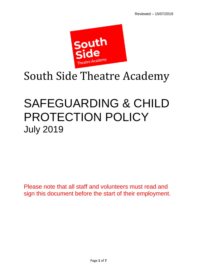

# South Side Theatre Academy

## SAFEGUARDING & CHILD PROTECTION POLICY July 2019

Please note that all staff and volunteers must read and sign this document before the start of their employment.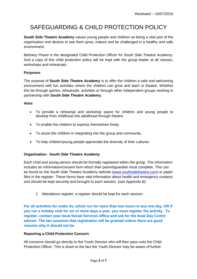### SAFEGUARDING & CHILD PROTECTION POLICY

**South Side Theatre Academy** values young people and children as being a vital part of the organisation and desires to see them grow, mature and be challenged in a healthy and safe environment.

*Bethany Pease* is the designated Child Protection Officer for South Side Theatre Academy. And a copy of this child protection policy will be kept with the group leader at all classes, workshops and rehearsals.

#### **Purposes**

The purpose of **South Side Theatre Academy** is to offer the children a safe and welcoming environment with fun activities where the children can grow and learn in theatre. Whether this be through games, rehearsals, activities or through other independent groups working in partnership with **South Side Theatre Academy.**

#### **Aims**

- To provide a rehearsal and workshop space for children and young people to develop from childhood into adulthood through theatre.
- To enable the children to express themselves freely.
- To assist the children in integrating into the group and community.
- To help children/young people appreciate the diversity of their cultures.

#### **Organisation - South Side Theatre Academy**

Each child and young person should be formally registered within the group. The information includes an information/consent form which their parent/guardian must complete. This can be found on the South Side Theatre Academy website [\(www.southsidetheatre.com\)](http://www.southsidetheatre.com/) or paper files in the register. These forms have vital information about health and emergency contacts and should be kept securely and brought to each session. (see Appendix B)

1. Attendance register: a register should be kept for each session.

**For all activities for under 8s, which run for more than two hours in any one day, OR if you run a holiday club for six or more days a year, you must register the activity. To register, contact your local Social Services Office and ask for the local Day Centre adviser. The law assumes that registration will be granted unless there are good reasons why it should not be.**

#### **Reporting a Child Protection Concern**

All concerns should go directly to the Youth Director who will then pass onto the Child Protection Officer. This is down to the fact the Youth Director may be aware of further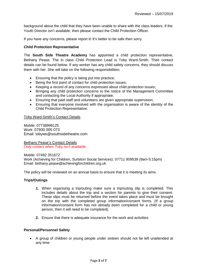background about the child that they have been unable to share with the class leaders. If the Youth Director isn't available, then please contact the Child Protection Officer.

If you have any concerns, please report it! It's better to be safe then sorry.

#### **Child Protection Representative**

The **South Side Theatre Academy** has appointed a child protection representative, Bethany Pease. The in class Child Protection Lead is Toby Ward-Smith. Their contact details can be found below. If any worker has any child safety concerns, they should discuss them with her. She will take on the following responsibilities:

- Ensuring that the policy is being put into practice;
- Being the first point of contact for child protection issues;
- Keeping a record of any concerns expressed about child protection issues;
- Bringing any child protection concerns to the notice of the Management Committee and contacting the Local Authority if appropriate;
- Ensuring that paid staff and volunteers are given appropriate supervision;
- Ensuring that everyone involved with the organisation is aware of the identity of the Child Protection Representative.

#### Toby Ward-Smith's Contact Details

Mobile: 07738998125 Work: 07930 005 073 Email: tobyws@southsidetheatre.com

Bethany Pease's Contact Details *Only contact when Toby isn't available.*

Mobile: 07492 351672 Work (Achieving for Children, Surbiton Social Services): 07711 909539 (9am-5:15pm) Email: bethany.pease@achievingforchildren.org.uk

The policy will be reviewed on an annual basis to ensure that it is meeting its aims.

#### **Trips/Outings**

- **1.** When organising a trip/outing make sure a trip/outing slip is completed. This includes details about the trip and a section for parents to give their consent. These slips must be returned before the event takes place and must be brought on the trip with the completed group information/consent forms. (If a group information/consent form has not already been completed for a child or young person, then it will need to be completed).
- **2.** Ensure that there is adequate insurance for the work and activities.

#### **Personal/Personnel Safety**

 A group of children or young people under sixteen should not be left unattended at any time.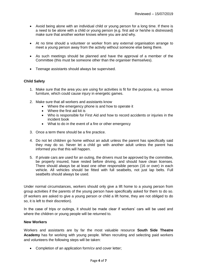- Avoid being alone with an individual child or young person for a long time. If there is a need to be alone with a child or young person (e.g. first aid or he/she is distressed) make sure that another worker knows where you are and why.
- At no time should a volunteer or worker from any external organisation arrange to meet a young person away from the activity without someone else being there.
- As such meetings should be planned and have the approval of a member of the Committee (this must be someone other than the organiser themselves).
- Teenage assistants should always be supervised.

#### **Child Safety**

- 1. Make sure that the area you are using for activities is fit for the purpose, e.g. remove furniture, which could cause injury in energetic games.
- 2. Make sure that all workers and assistants know
	- Where the emergency phone is and how to operate it
	- Where the first aid kit is
	- Who is responsible for First Aid and how to record accidents or injuries in the incident book
	- What to do in the event of a fire or other emergency
- 3. Once a term there should be a fire practice.
- 4. Do not let children go home without an adult unless the parent has specifically said they may do so. Never let a child go with another adult unless the parent has informed you that this will happen.
- 5. If private cars are used for an outing, the drivers must be approved by the committee, be properly insured, have rested before driving, and should have clean licenses. There should always be at least one other responsible person (16 or over) in each vehicle. All vehicles should be fitted with full seatbelts, not just lap belts. Full seatbelts should always be used.

Under normal circumstances, workers should only give a lift home to a young person from group activities if the parents of the young person have specifically asked for them to do so. (If workers are asked to give a young person or child a lift home, they are not obliged to do so, it is left to their discretion).

In the case of trips or outings, it should be made clear if workers' cars will be used and where the children or young people will be returned to.

#### **New Workers**

Workers and assistants are by far the most valuable resource **South Side Theatre Academy** has for working with young people. When recruiting and selecting paid workers and volunteers the following steps will be taken:

• Completion of an application form/cv and cover letter;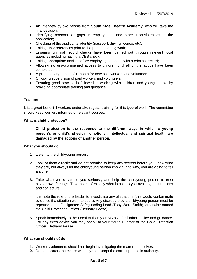- An interview by two people from **South Side Theatre Academy**, who will take the final decision;
- Identifying reasons for gaps in employment, and other inconsistencies in the application;
- Checking of the applicants' identity (passport, driving license, etc);
- Taking up 2 references prior to the person starting work;
- Ensuring criminal record checks have been carried out through relevant local agencies including having a DBS check;
- Taking appropriate advice before employing someone with a criminal record;
- Allowing no unaccompanied access to children until all of the above have been completed;
- A probationary period of 1 month for new paid workers and volunteers;
- On-going supervision of paid workers and volunteers;
- Ensuring good practice is followed in working with children and young people by providing appropriate training and guidance.

#### **Training**

It is a great benefit if workers undertake regular training for this type of work. The committee should keep workers informed of relevant courses.

#### **What is child protection**?

**Child protection is the response to the different ways in which a young person's or child's physical, emotional, intellectual and spiritual health are damaged by the actions of another person.**

#### **What you should do**

- 1. Listen to the child/young person.
- 2. Look at them directly and do not promise to keep any secrets before you know what they are, but always let the child/young person know if, and why, you are going to tell anyone.
- **3.** Take whatever is said to you seriously and help the child/young person to trust his/her own feelings. Take notes of exactly what is said to you avoiding assumptions and conjecture.
- 4. It is note the role of the leader to investigate any allegations (this would contaminate evidence if a situation went to court). Any disclosure by a child/young person must be reported to the Designated Safeguarding Lead (Toby Ward-Smith), otherwise named the Child Protection Officer (Bethany Pease).
- 5. Speak immediately to the Local Authority or NSPCC for further advice and guidance. For any extra advice you may speak to your Youth Director or the Child Protection Officer, Bethany Pease.

#### **What you should** *not* **do**

- **1.** Workers/volunteers should not begin investigating the matter themselves.
- **2.** Do not discuss the matter with anyone except the correct people in authority.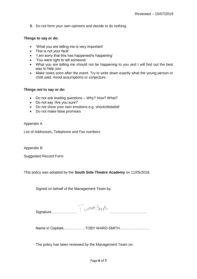**3.** Do not form your own opinions and decide to do nothing.

#### **Things to say or do:**

- 'What you are telling me is very important'
- This is not your fault'
- 'I am sorry that this has happened/is happening'
- 'You were right to tell someone'
- What you are telling me should not be happening to you and I will find out the best way to help you'
- Make notes soon after the event. Try to write down exactly what the young person or child said. Avoid assumptions or conjecture.

#### **Things** *not* **to say or do:**

- Do not ask leading questions Why? How? What?
- Do not say 'Are you sure?'
- Do not show your own emotions e.g. shock/disbelief
- Do not make false promises

Appendix A

List of Addresses, Telephone and Fax numbers

Appendix B

Suggested Record Form

This policy was adopted by the **South Side Theatre Academy** on 11/05/2018.

Signed on behalf of the Management Team by:

| Sic |  |
|-----|--|

Name in Capitals………………TOBY WARD-SMITH……………………

The policy has been reviewed by the Management Team on: